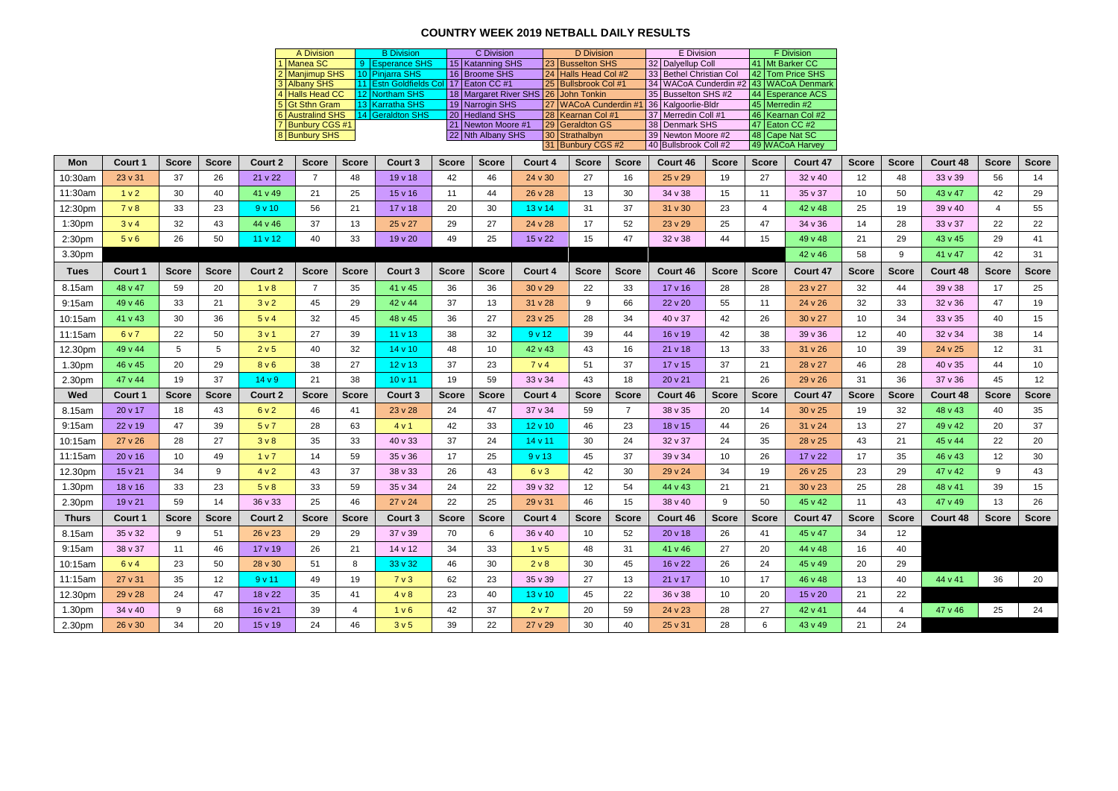## **COUNTRY WEEK 2019 NETBALL DAILY RESULTS**

|                    |                  |                 |              |                    | A Division                           |                | <b>B</b> Division                         |              | C Division                           |                                            | D Division                                   |                | E Division                                                        |                 |                 | F Division          |                 |              |                 |                |                 |
|--------------------|------------------|-----------------|--------------|--------------------|--------------------------------------|----------------|-------------------------------------------|--------------|--------------------------------------|--------------------------------------------|----------------------------------------------|----------------|-------------------------------------------------------------------|-----------------|-----------------|---------------------|-----------------|--------------|-----------------|----------------|-----------------|
|                    |                  |                 |              |                    | Manea SC                             |                | 9 Esperance SHS                           |              | 15 Katanning SHS                     |                                            | 23 Busselton SHS                             |                | 32 Dalyellup Coll                                                 |                 | 41 Mt Barker CC |                     |                 |              |                 |                |                 |
|                    |                  |                 |              |                    | 2 Manjimup SHS<br>3 Albany SHS       |                | 10 Pinjarra SHS<br>11 Estn Goldfields Col |              | 16 Broome SHS<br>17 Eaton CC #1      |                                            | 24 Halls Head Col #2<br>25 Bullsbrook Col #1 |                | 33 Bethel Christian Col<br>34 WACoA Cunderdin #2 43 WACoA Denmark |                 |                 | 42 Tom Price SHS    |                 |              |                 |                |                 |
|                    |                  |                 |              |                    | 4 Halls Head CC                      |                | 12 Northam SHS                            |              |                                      | 18   Margaret River SHS   26   John Tonkin |                                              |                | 35 Busselton SHS #2                                               |                 |                 | 44 Esperance ACS    |                 |              |                 |                |                 |
|                    |                  |                 |              |                    | 5 Gt Sthn Gram                       |                | 13 Karratha SHS                           |              | 19 Narrogin SHS                      |                                            |                                              |                | 27 WACoA Cunderdin #1 36   Kalgoorlie-Bldr                        |                 | 45 Merredin #2  |                     |                 |              |                 |                |                 |
|                    |                  |                 |              |                    | 6 Australind SHS<br>7 Bunbury CGS #1 |                | 14 Geraldton SHS                          |              | 20 Hedland SHS<br>21 Newton Moore #1 |                                            | 28   Kearnan Col #1<br>29 Geraldton GS       |                | 37 Merredin Coll #1<br>38 Denmark SHS                             |                 | 47 Eaton CC #2  | 46   Kearnan Col #2 |                 |              |                 |                |                 |
|                    |                  |                 |              |                    | 8 Bunbury SHS                        |                |                                           |              | 22 Nth Albany SHS                    |                                            | 30 Strathalbyn                               |                | 39 Newton Moore #2                                                |                 | 48 Cape Nat SC  |                     |                 |              |                 |                |                 |
|                    |                  |                 |              |                    |                                      |                |                                           |              | 31 Bunbury CGS #2                    |                                            | 40 Bullsbrook Coll #2                        |                | 49 WACoA Harvey                                                   |                 |                 |                     |                 |              |                 |                |                 |
| <b>Mon</b>         | <b>Court 1</b>   | <b>Score</b>    | <b>Score</b> | <b>Court 2</b>     | <b>Score</b>                         | <b>Score</b>   | <b>Court 3</b>                            | <b>Score</b> | <b>Score</b>                         | Court 4                                    | <b>Score</b>                                 | <b>Score</b>   | Court 46                                                          | <b>Score</b>    | <b>Score</b>    | Court 47            | <b>Score</b>    | <b>Score</b> | Court 48        | <b>Score</b>   | <b>Score</b>    |
| 10:30am            | 23 v 31          | 37              | 26           | 21 v 22            | $\overline{7}$                       | 48             | 19 v 18                                   | 42           | 46                                   | 24 v 30                                    | 27                                           | 16             | 25 v 29                                                           | 19              | 27              | 32 v 40             | 12              | 48           | 33 v 39         | 56             | 14              |
| 11:30am            | 1 <sub>v</sub> 2 | 30              | 40           | 41 v 49            | 21                                   | 25             | 15 v 16                                   | 11           | 44                                   | 26 v 28                                    | 13                                           | 30             | 34 v 38                                                           | 15              | 11              | 35 v 37             | 10              | 50           | 43 v 47         | 42             | 29              |
| 12:30pm            | 7 <sub>v</sub> 8 | 33              | 23           | 9v10               | 56                                   | 21             | $17 \vee 18$                              | 20           | 30                                   | $13 \vee 14$                               | 31                                           | 37             | $31 \vee 30$                                                      | 23              | $\overline{4}$  | 42 v 48             | 25              | 19           | 39v40           | $\overline{4}$ | 55              |
| 1:30pm             | 3v4              | 32              | 43           | 44 v 46            | 37                                   | 13             | 25 v 27                                   | 29           | 27                                   | 24 v 28                                    | 17                                           | 52             | 23 v 29                                                           | 25              | 47              | 34 v 36             | 14              | 28           | 33 v 37         | 22             | 22              |
| 2:30 <sub>pm</sub> | 5 v 6            | 26              | 50           | 11 <sub>v</sub> 12 | 40                                   | 33             | 19 v 20                                   | 49           | 25                                   | 15 v 22                                    | 15                                           | 47             | $32 \vee 38$                                                      | 44              | 15 <sub>1</sub> | 49 v 48             | 21              | 29           | $43 \vee 45$    | 29             | 41              |
| 3.30pm             |                  |                 |              |                    |                                      |                |                                           |              |                                      |                                            |                                              |                |                                                                   |                 |                 | 42 v 46             | 58              | 9            | 41 v 47         | 42             | 31              |
| <b>Tues</b>        | <b>Court 1</b>   | <b>Score</b>    | <b>Score</b> | <b>Court 2</b>     | <b>Score</b>                         | <b>Score</b>   | <b>Court 3</b>                            | <b>Score</b> | <b>Score</b>                         | Court 4                                    | <b>Score</b>                                 | <b>Score</b>   | Court 46                                                          | <b>Score</b>    | <b>Score</b>    | <b>Court 47</b>     | <b>Score</b>    | <b>Score</b> | Court 48        | <b>Score</b>   | <b>Score</b>    |
| 8.15am             | 48 v 47          | 59              | 20           | 1 <sub>v</sub> 8   | $\overline{7}$                       | 35             | 41 v 45                                   | 36           | 36                                   | 30v29                                      | 22                                           | 33             | 17v16                                                             | 28              | 28              | 23 v 27             | 32              | 44           | 39 v 38         | 17             | 25              |
| 9:15am             | 49 v 46          | 33              | 21           | 3v2                | 45                                   | 29             | 42 v 44                                   | 37           | 13                                   | $31 \vee 28$                               | 9                                            | 66             | 22 v 20                                                           | 55              | 11              | 24 v 26             | 32              | 33           | $32 \vee 36$    | 47             | 19              |
| 10:15am            | 41 v 43          | 30              | 36           | 5 v 4              | 32                                   | 45             | 48 v 45                                   | 36           | 27                                   | 23 v 25                                    | 28                                           | 34             | 40 v 37                                                           | 42              | 26              | 30 v 27             | 10              | 34           | $33 \vee 35$    | 40             | 15              |
| 11:15am            | 6 v 7            | 22              | 50           | 3 v 1              | 27                                   | 39             | $11 \vee 13$                              | 38           | 32                                   | 9 v 12                                     | 39                                           | 44             | 16 v 19                                                           | 42              | 38              | 39 v 36             | 12              | 40           | 32 v 34         | 38             | 14              |
| 12.30pm            | 49 v 44          | $5^{\circ}$     | 5            | 2 v 5              | 40                                   | 32             | $14 \vee 10$                              | 48           | 10                                   | 42 v 43                                    | 43                                           | 16             | 21 v 18                                                           | 13              | 33              | $31 \vee 26$        | 10 <sup>°</sup> | 39           | 24 v 25         | 12             | 31              |
| 1.30pm             | 46 v 45          | 20              | 29           | 8 <sub>V</sub> 6   | 38                                   | 27             | $12 \vee 13$                              | 37           | 23                                   | 7 <sub>v</sub> 4                           | 51                                           | 37             | $17 \vee 15$                                                      | 37              | 21              | 28 v 27             | 46              | 28           | 40 v 35         | 44             | 10              |
| 2.30pm             | 47 v 44          | 19              | 37           | 14 <sub>v</sub> 9  | 21                                   | 38             | 10 v 11                                   | 19           | 59                                   | 33 v 34                                    | 43                                           | 18             | 20 v 21                                                           | 21              | 26              | 29 v 26             | 31              | 36           | 37 v 36         | 45             | 12              |
| Wed                | <b>Court 1</b>   | <b>Score</b>    | <b>Score</b> | <b>Court 2</b>     | <b>Score</b>                         | <b>Score</b>   | Court 3                                   | <b>Score</b> | <b>Score</b>                         | Court 4                                    | <b>Score</b>                                 | <b>Score</b>   | Court 46                                                          | <b>Score</b>    | <b>Score</b>    | Court 47            | <b>Score</b>    | <b>Score</b> | <b>Court 48</b> | <b>Score</b>   | <b>Score</b>    |
| 8.15am             | 20 v 17          | 18              | 43           | 6 v 2              | 46                                   | 41             | $23 \vee 28$                              | 24           | 47                                   | 37 v 34                                    | 59                                           | $\overline{7}$ | 38 v 35                                                           | 20              | 14              | $30 \vee 25$        | 19              | 32           | 48 v 43         | 40             | 35              |
| 9:15am             | 22 v 19          | 47              | 39           | 5 v 7              | 28                                   | 63             | 4 v 1                                     | 42           | 33                                   | $12 \vee 10$                               | 46                                           | 23             | 18 v 15                                                           | 44              | 26              | 31 v 24             | 13              | 27           | 49 v 42         | 20             | 37              |
| 10:15am            | 27 v 26          | 28              | 27           | 3v8                | 35                                   | 33             | 40 v 33                                   | 37           | 24                                   | 14 v 11                                    | 30                                           | 24             | 32 v 37                                                           | 24              | 35              | 28 v 25             | 43              | 21           | 45 v 44         | 22             | 20              |
| 11:15am            | 20 v 16          | 10 <sup>°</sup> | 49           | 1 v 7              | 14                                   | 59             | $35 \vee 36$                              | 17           | 25                                   | 9v13                                       | 45                                           | 37             | 39 v 34                                                           | 10 <sup>°</sup> | 26              | 17 v 22             | 17              | 35           | 46 v 43         | 12             | 30              |
| 12.30pm            | 15 v 21          | 34              | 9            | 4 v 2              | 43                                   | 37             | 38 v 33                                   | 26           | 43                                   | 6 <sub>v</sub> 3                           | 42                                           | 30             | 29 v 24                                                           | 34              | 19              | 26 v 25             | 23              | 29           | 47 v 42         | 9              | 43              |
| 1.30pm             | $18 \vee 16$     | 33              | 23           | 5 <sub>v</sub> 8   | 33                                   | 59             | 35 v 34                                   | 24           | 22                                   | $39 \vee 32$                               | 12 <sup>°</sup>                              | 54             | 44 v 43                                                           | 21              | 21              | $30 \vee 23$        | 25              | 28           | 48 v 41         | 39             | 15 <sub>1</sub> |
| 2.30pm             | 19 v 21          | 59              | 14           | 36 v 33            | 25                                   | 46             | 27 v 24                                   | 22           | 25                                   | 29v31                                      | 46                                           | 15             | 38 v 40                                                           | 9               | 50              | 45 v 42             | 11              | 43           | 47 v 49         | 13             | 26              |
| <b>Thurs</b>       | Court 1          | <b>Score</b>    | <b>Score</b> | <b>Court 2</b>     | <b>Score</b>                         | <b>Score</b>   | Court 3                                   | <b>Score</b> | <b>Score</b>                         | Court 4                                    | <b>Score</b>                                 | <b>Score</b>   | Court 46                                                          | <b>Score</b>    | <b>Score</b>    | Court 47            | <b>Score</b>    | <b>Score</b> | Court 48        | <b>Score</b>   | <b>Score</b>    |
| 8.15am             | $35 \vee 32$     | 9               | 51           | $26 \vee 23$       | 29                                   | 29             | $37 \vee 39$                              | 70           | 6                                    | 36 v 40                                    | 10                                           | 52             | $20 \vee 18$                                                      | 26              | 41              | 45 v 47             | 34              | 12           |                 |                |                 |
| 9:15am             | 38 v 37          | 11              | 46           | $17 \vee 19$       | 26                                   | 21             | $14 \vee 12$                              | 34           | 33                                   | 1 v 5                                      | 48                                           | 31             | $41 \vee 46$                                                      | 27              | 20              | 44 v 48             | 16              | 40           |                 |                |                 |
| 10:15am            | 6 v 4            | 23              | 50           | $28 \vee 30$       | 51                                   | 8              | $33 \vee 32$                              | 46           | 30                                   | 2 <sub>v</sub> 8                           | 30                                           | 45             | 16 v 22                                                           | 26              | 24              | 45 v 49             | 20              | 29           |                 |                |                 |
| 11:15am            | $27 \vee 31$     | 35              | 12           | 9 v 11             | 49                                   | 19             | 7 <sub>v</sub> 3                          | 62           | 23                                   | $35 \vee 39$                               | 27                                           | 13             | 21 v 17                                                           | 10              | 17              | 46 v 48             | 13              | 40           | 44 v 41         | 36             | 20              |
| 12.30pm            | 29 v 28          | 24              | 47           | $18 \vee 22$       | 35                                   | 41             | 4 v 8                                     | 23           | 40                                   | $13 \vee 10$                               | 45                                           | 22             | $36 \vee 38$                                                      | 10              | 20              | $15 \vee 20$        | 21              | 22           |                 |                |                 |
| 1.30 <sub>pm</sub> | $34 \vee 40$     | 9               | 68           | 16 v 21            | 39                                   | $\overline{4}$ | 1 <sub>v</sub> 6                          | 42           | 37                                   | 2 v 7                                      | 20                                           | 59             | 24 v 23                                                           | 28              | 27              | 42 v 41             | 44              | 4            | $47 \vee 46$    | 25             | 24              |
| 2.30pm             | $26 \vee 30$     | 34              | 20           | $15 \vee 19$       | 24                                   | 46             | 3 <sub>v</sub> 5                          | 39           | 22                                   | 27 v 29                                    | 30                                           | 40             | $25 \vee 31$                                                      | 28              | 6               | 43 v 49             | 21              | 24           |                 |                |                 |